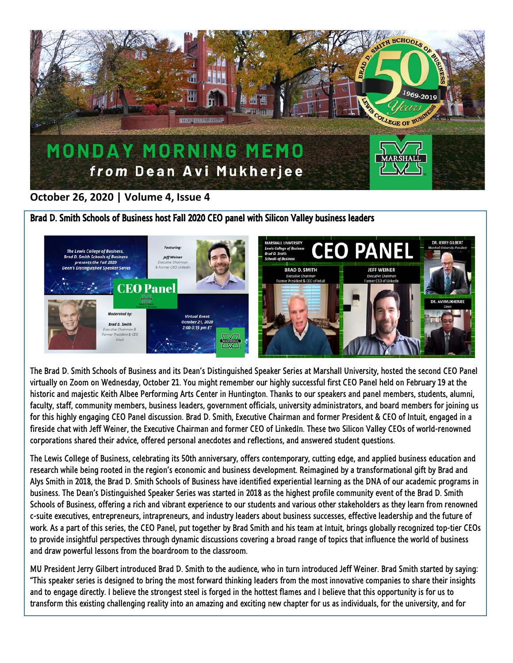

## **October 26, 2020 | Volume 4, Issue 4**

Brad D. Smith Schools of Business host Fall 2020 CEO panel with Silicon Valley business leaders



The Brad D. Smith Schools of Business and its Dean's Distinguished Speaker Series at Marshall University, hosted the second CEO Panel virtually on Zoom on Wednesday, October 21. You might remember our highly successful first CEO Panel held on February 19 at the historic and majestic Keith Albee Performing Arts Center in Huntington. Thanks to our speakers and panel members, students, alumni, faculty, staff, community members, business leaders, government officials, university administrators, and board members for joining us for this highly engaging CEO Panel discussion. Brad D. Smith, Executive Chairman and former President & CEO of Intuit, engaged in a fireside chat with Jeff Weiner, the Executive Chairman and former CEO of LinkedIn. These two Silicon Valley CEOs of world-renowned corporations shared their advice, offered personal anecdotes and reflections, and answered student questions.

The Lewis College of Business, celebrating its 50th anniversary, offers contemporary, cutting edge, and applied business education and research while being rooted in the region's economic and business development. Reimagined by a transformational gift by Brad and Alys Smith in 2018, the Brad D. Smith Schools of Business have identified experiential learning as the DNA of our academic programs in business. The Dean's Distinguished Speaker Series was started in 2018 as the highest profile community event of the Brad D. Smith Schools of Business, offering a rich and vibrant experience to our students and various other stakeholders as they learn from renowned c-suite executives, entrepreneurs, intrapreneurs, and industry leaders about business successes, effective leadership and the future of work. As a part of this series, the CEO Panel, put together by Brad Smith and his team at Intuit, brings globally recognized top-tier CEOs to provide insightful perspectives through dynamic discussions covering a broad range of topics that influence the world of business and draw powerful lessons from the boardroom to the classroom.

MU President Jerry Gilbert introduced Brad D. Smith to the audience, who in turn introduced Jeff Weiner. Brad Smith started by saying: "This speaker series is designed to bring the most forward thinking leaders from the most innovative companies to share their insights and to engage directly. I believe the strongest steel is forged in the hottest flames and I believe that this opportunity is for us to transform this existing challenging reality into an amazing and exciting new chapter for us as individuals, for the university, and for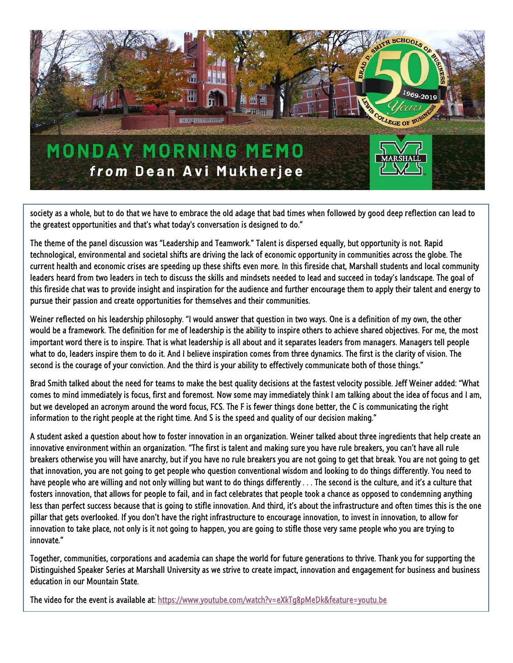

society as a whole, but to do that we have to embrace the old adage that bad times when followed by good deep reflection can lead to the greatest opportunities and that's what today's conversation is designed to do."

The theme of the panel discussion was "Leadership and Teamwork." Talent is dispersed equally, but opportunity is not. Rapid technological, environmental and societal shifts are driving the lack of economic opportunity in communities across the globe. The current health and economic crises are speeding up these shifts even more. In this fireside chat, Marshall students and local community leaders heard from two leaders in tech to discuss the skills and mindsets needed to lead and succeed in today's landscape. The goal of this fireside chat was to provide insight and inspiration for the audience and further encourage them to apply their talent and energy to pursue their passion and create opportunities for themselves and their communities.

Weiner reflected on his leadership philosophy. "I would answer that question in two ways. One is a definition of my own, the other would be a framework. The definition for me of leadership is the ability to inspire others to achieve shared objectives. For me, the most important word there is to inspire. That is what leadership is all about and it separates leaders from managers. Managers tell people what to do, leaders inspire them to do it. And I believe inspiration comes from three dynamics. The first is the clarity of vision. The second is the courage of your conviction. And the third is your ability to effectively communicate both of those things."

Brad Smith talked about the need for teams to make the best quality decisions at the fastest velocity possible. Jeff Weiner added: "What comes to mind immediately is focus, first and foremost. Now some may immediately think I am talking about the idea of focus and I am, but we developed an acronym around the word focus, FCS. The F is fewer things done better, the C is communicating the right information to the right people at the right time. And S is the speed and quality of our decision making."

A student asked a question about how to foster innovation in an organization. Weiner talked about three ingredients that help create an innovative environment within an organization. "The first is talent and making sure you have rule breakers, you can't have all rule breakers otherwise you will have anarchy, but if you have no rule breakers you are not going to get that break. You are not going to get that innovation, you are not going to get people who question conventional wisdom and looking to do things differently. You need to have people who are willing and not only willing but want to do things differently . . . The second is the culture, and it's a culture that fosters innovation, that allows for people to fail, and in fact celebrates that people took a chance as opposed to condemning anything less than perfect success because that is going to stifle innovation. And third, it's about the infrastructure and often times this is the one pillar that gets overlooked. If you don't have the right infrastructure to encourage innovation, to invest in innovation, to allow for innovation to take place, not only is it not going to happen, you are going to stifle those very same people who you are trying to innovate."

Together, communities, corporations and academia can shape the world for future generations to thrive. Thank you for supporting the Distinguished Speaker Series at Marshall University as we strive to create impact, innovation and engagement for business and business education in our Mountain State.

The video for the event is available at: https://www.youtube.com/watch?v=eXkTq8pMeDk&feature=voutu.be